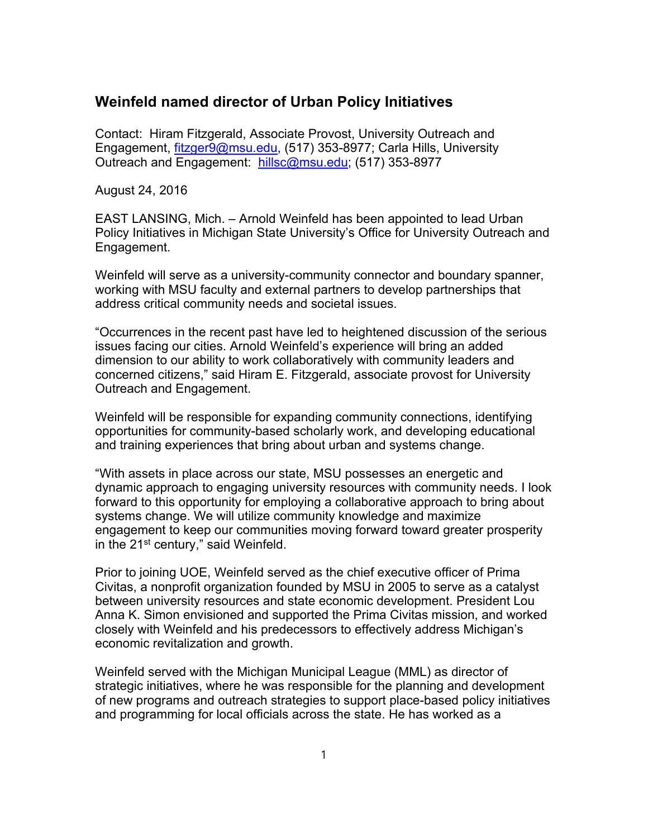## **Weinfeld named director of Urban Policy Initiatives**

Contact: Hiram Fitzgerald, Associate Provost, University Outreach and Engagement, fitzger9@msu.edu, (517) 353-8977; Carla Hills, University Outreach and Engagement: hillsc@msu.edu; (517) 353-8977

August 24, 2016

EAST LANSING, Mich. – Arnold Weinfeld has been appointed to lead Urban Policy Initiatives in Michigan State University's Office for University Outreach and Engagement.

Weinfeld will serve as a university-community connector and boundary spanner, working with MSU faculty and external partners to develop partnerships that address critical community needs and societal issues.

"Occurrences in the recent past have led to heightened discussion of the serious issues facing our cities. Arnold Weinfeld's experience will bring an added dimension to our ability to work collaboratively with community leaders and concerned citizens," said Hiram E. Fitzgerald, associate provost for University Outreach and Engagement.

Weinfeld will be responsible for expanding community connections, identifying opportunities for community-based scholarly work, and developing educational and training experiences that bring about urban and systems change.

"With assets in place across our state, MSU possesses an energetic and dynamic approach to engaging university resources with community needs. I look forward to this opportunity for employing a collaborative approach to bring about systems change. We will utilize community knowledge and maximize engagement to keep our communities moving forward toward greater prosperity in the 21<sup>st</sup> century," said Weinfeld.

Prior to joining UOE, Weinfeld served as the chief executive officer of Prima Civitas, a nonprofit organization founded by MSU in 2005 to serve as a catalyst between university resources and state economic development. President Lou Anna K. Simon envisioned and supported the Prima Civitas mission, and worked closely with Weinfeld and his predecessors to effectively address Michigan's economic revitalization and growth.

Weinfeld served with the Michigan Municipal League (MML) as director of strategic initiatives, where he was responsible for the planning and development of new programs and outreach strategies to support place-based policy initiatives and programming for local officials across the state. He has worked as a